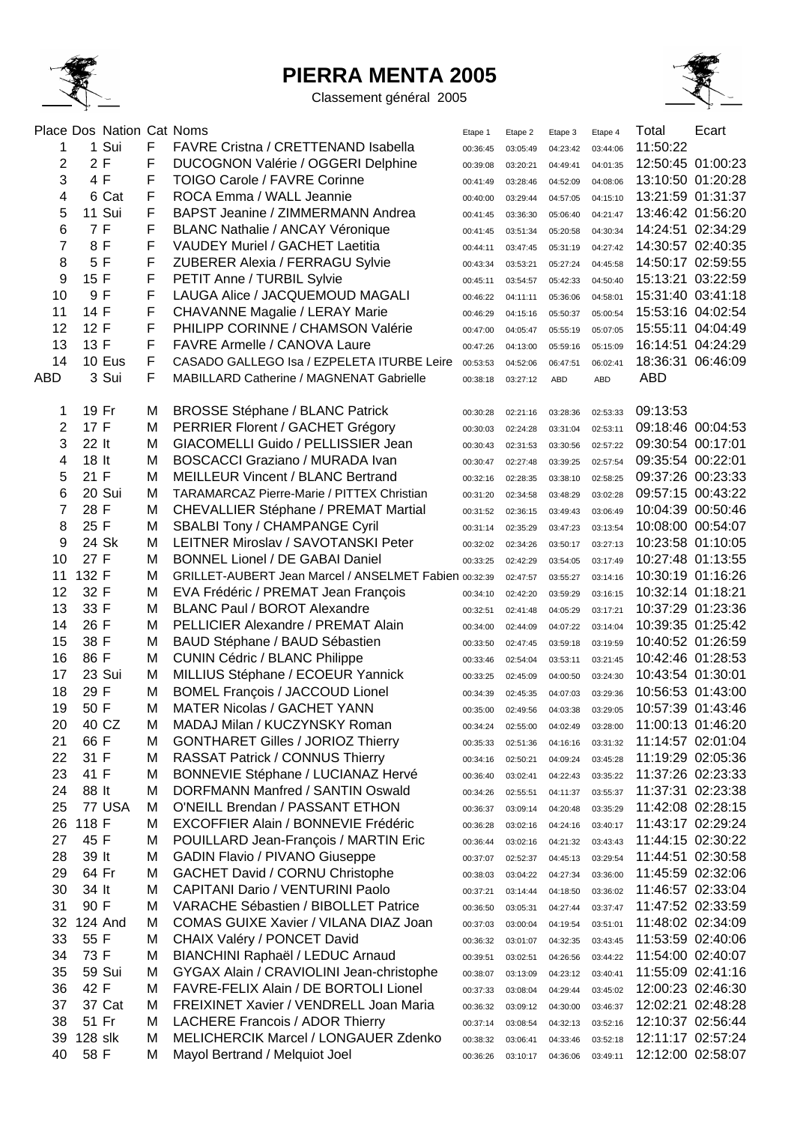

## **PIERRA MENTA 2005**

Classement général 2005



|            |         | Place Dos Nation Cat Noms |   |                                                       | Etape 1  | Etape 2            | Etape 3    | Etape 4    | Total             | Ecart             |
|------------|---------|---------------------------|---|-------------------------------------------------------|----------|--------------------|------------|------------|-------------------|-------------------|
| 1          |         | 1 Sui                     | F | <b>FAVRE Cristna / CRETTENAND Isabella</b>            | 00:36:45 | 03:05:49           | 04:23:42   | 03:44:06   | 11:50:22          |                   |
| 2          | 2F      |                           | F | <b>DUCOGNON Valérie / OGGERI Delphine</b>             | 00:39:08 | 03:20:21           | 04:49:41   | 04:01:35   |                   | 12:50:45 01:00:23 |
| 3          | 4 F     |                           | F | TOIGO Carole / FAVRE Corinne                          | 00:41:49 | 03:28:46           | 04:52:09   | 04:08:06   |                   | 13:10:50 01:20:28 |
| 4          |         | 6 Cat                     | F | ROCA Emma / WALL Jeannie                              | 00:40:00 | 03:29:44           | 04:57:05   | 04:15:10   |                   | 13:21:59 01:31:37 |
| 5          |         | 11 Sui                    | F | BAPST Jeanine / ZIMMERMANN Andrea                     | 00:41:45 | 03:36:30           | 05:06:40   | 04:21:47   |                   | 13:46:42 01:56:20 |
| 6          | 7 F     |                           | F | BLANC Nathalie / ANCAY Véronique                      | 00:41:45 | 03:51:34           | 05:20:58   | 04:30:34   |                   | 14:24:51 02:34:29 |
| 7          | 8F      |                           | F | <b>VAUDEY Muriel / GACHET Laetitia</b>                | 00:44:11 | 03:47:45           | 05:31:19   | 04:27:42   |                   | 14:30:57 02:40:35 |
| 8          | 5 F     |                           | F | ZUBERER Alexia / FERRAGU Sylvie                       | 00:43:34 | 03:53:21           | 05:27:24   | 04:45:58   |                   | 14:50:17 02:59:55 |
| 9          | 15 F    |                           | F | PETIT Anne / TURBIL Sylvie                            | 00:45:11 | 03:54:57           | 05:42:33   | 04:50:40   |                   | 15:13:21 03:22:59 |
| 10         | 9F      |                           | F | LAUGA Alice / JACQUEMOUD MAGALI                       | 00:46:22 | 04:11:11           | 05:36:06   | 04:58:01   |                   | 15:31:40 03:41:18 |
| 11         | 14 F    |                           | F | CHAVANNE Magalie / LERAY Marie                        | 00:46:29 | 04:15:16           | 05:50:37   | 05:00:54   | 15:53:16 04:02:54 |                   |
| 12         | 12 F    |                           | F | PHILIPP CORINNE / CHAMSON Valérie                     | 00:47:00 | 04:05:47           | 05:55:19   | 05:07:05   |                   | 15:55:11 04:04:49 |
| 13         | 13 F    |                           | F | <b>FAVRE Armelle / CANOVA Laure</b>                   | 00:47:26 | 04:13:00           | 05:59:16   | 05:15:09   |                   | 16:14:51 04:24:29 |
| 14         |         | 10 Eus                    | F | CASADO GALLEGO Isa / EZPELETA ITURBE Leire            | 00:53:53 | 04:52:06           | 06:47:51   | 06:02:41   | 18:36:31          | 06:46:09          |
| <b>ABD</b> |         | 3 Sui                     | F | MABILLARD Catherine / MAGNENAT Gabrielle              | 00:38:18 | 03:27:12           | <b>ABD</b> | <b>ABD</b> | <b>ABD</b>        |                   |
|            |         |                           |   |                                                       |          |                    |            |            |                   |                   |
| 1          | 19 Fr   |                           | M | <b>BROSSE Stéphane / BLANC Patrick</b>                | 00:30:28 | 02:21:16           | 03:28:36   | 02:53:33   | 09:13:53          |                   |
| 2          | 17 F    |                           | M | PERRIER Florent / GACHET Grégory                      | 00:30:03 | 02:24:28           | 03:31:04   | 02:53:11   | 09:18:46 00:04:53 |                   |
| 3          | 22 lt   |                           | M | GIACOMELLI Guido / PELLISSIER Jean                    | 00:30:43 | 02:31:53           | 03:30:56   | 02:57:22   | 09:30:54 00:17:01 |                   |
| 4          | 18 lt   |                           | M | <b>BOSCACCI Graziano / MURADA Ivan</b>                | 00:30:47 | 02:27:48           | 03:39:25   | 02:57:54   | 09:35:54 00:22:01 |                   |
| 5          | 21 F    |                           | M | <b>MEILLEUR Vincent / BLANC Bertrand</b>              | 00:32:16 | 02:28:35           | 03:38:10   | 02:58:25   | 09:37:26 00:23:33 |                   |
| 6          |         | 20 Sui                    | M | <b>TARAMARCAZ Pierre-Marie / PITTEX Christian</b>     | 00:31:20 | 02:34:58           | 03:48:29   | 03:02:28   | 09:57:15 00:43:22 |                   |
| 7          | 28 F    |                           | M | CHEVALLIER Stéphane / PREMAT Martial                  | 00:31:52 | 02:36:15           | 03:49:43   | 03:06:49   |                   | 10:04:39 00:50:46 |
| 8          | 25 F    |                           | M | <b>SBALBI Tony / CHAMPANGE Cyril</b>                  | 00:31:14 | 02:35:29           | 03:47:23   | 03:13:54   |                   | 10:08:00 00:54:07 |
| 9          |         | 24 Sk                     | M | LEITNER Miroslav / SAVOTANSKI Peter                   | 00:32:02 | 02:34:26           | 03:50:17   | 03:27:13   |                   | 10:23:58 01:10:05 |
| 10         | 27 F    |                           | M | <b>BONNEL Lionel / DE GABAI Daniel</b>                | 00:33:25 | 02:42:29           | 03:54:05   | 03:17:49   |                   | 10:27:48 01:13:55 |
| 11         | 132 F   |                           | M | GRILLET-AUBERT Jean Marcel / ANSELMET Fabien 00:32:39 |          | 02:47:57           | 03:55:27   | 03:14:16   |                   | 10:30:19 01:16:26 |
| 12         | 32 F    |                           | M | EVA Frédéric / PREMAT Jean François                   | 00:34:10 | 02:42:20           | 03:59:29   | 03:16:15   | 10:32:14 01:18:21 |                   |
| 13         | 33 F    |                           | M | <b>BLANC Paul / BOROT Alexandre</b>                   | 00:32:51 | 02:41:48           | 04:05:29   | 03:17:21   |                   | 10:37:29 01:23:36 |
| 14         | 26 F    |                           | M | <b>PELLICIER Alexandre / PREMAT Alain</b>             | 00:34:00 | 02:44:09           | 04:07:22   | 03:14:04   |                   | 10:39:35 01:25:42 |
| 15         | 38 F    |                           | M | BAUD Stéphane / BAUD Sébastien                        | 00:33:50 | 02:47:45           | 03:59:18   | 03:19:59   |                   | 10:40:52 01:26:59 |
| 16         | 86 F    |                           | M | <b>CUNIN Cédric / BLANC Philippe</b>                  | 00:33:46 | 02:54:04           | 03:53:11   | 03:21:45   |                   | 10:42:46 01:28:53 |
| 17         |         | 23 Sui                    | M | MILLIUS Stéphane / ECOEUR Yannick                     | 00:33:25 | 02:45:09           | 04:00:50   | 03:24:30   | 10:43:54 01:30:01 |                   |
| 18         | 29 F    |                           | M | <b>BOMEL François / JACCOUD Lionel</b>                | 00:34:39 | 02:45:35           | 04:07:03   | 03:29:36   |                   | 10:56:53 01:43:00 |
| 19         | 50 F    |                           | M | <b>MATER Nicolas / GACHET YANN</b>                    | 00:35:00 | 02:49:56           | 04:03:38   | 03:29:05   |                   | 10:57:39 01:43:46 |
| 20         |         | 40 CZ                     | м | MADAJ Milan / KUCZYNSKY Roman                         | 00:34:24 | 02:55:00           | 04:02:49   | 03:28:00   |                   | 11:00:13 01:46:20 |
| 21         | 66 F    |                           | M | <b>GONTHARET Gilles / JORIOZ Thierry</b>              | 00:35:33 | 02:51:36           | 04:16:16   | 03:31:32   |                   | 11:14:57 02:01:04 |
| 22         | 31 F    |                           | M | <b>RASSAT Patrick / CONNUS Thierry</b>                | 00:34:16 | 02:50:21           | 04:09:24   | 03:45:28   |                   | 11:19:29 02:05:36 |
| 23         | 41 F    |                           | M | <b>BONNEVIE Stéphane / LUCIANAZ Hervé</b>             | 00:36:40 | 03:02:41           | 04:22:43   | 03:35:22   |                   | 11:37:26 02:23:33 |
| 24         | 88 lt   |                           | M | DORFMANN Manfred / SANTIN Oswald                      | 00:34:26 | 02:55:51           | 04:11:37   | 03:55:37   |                   | 11:37:31 02:23:38 |
| 25         |         | 77 USA                    | М | O'NEILL Brendan / PASSANT ETHON                       | 00:36:37 | 03:09:14           | 04:20:48   | 03:35:29   |                   | 11:42:08 02:28:15 |
| 26         | 118 F   |                           | M | EXCOFFIER Alain / BONNEVIE Frédéric                   | 00:36:28 | 03:02:16           | 04:24:16   | 03:40:17   |                   | 11:43:17 02:29:24 |
| 27         | 45 F    |                           | M | POUILLARD Jean-François / MARTIN Eric                 | 00:36:44 | 03:02:16           | 04:21:32   | 03:43:43   |                   | 11:44:15 02:30:22 |
| 28         | 39 It   |                           | M | <b>GADIN Flavio / PIVANO Giuseppe</b>                 | 00:37:07 | 02:52:37           | 04:45:13   | 03:29:54   |                   | 11:44:51 02:30:58 |
| 29         | 64 Fr   |                           | M | GACHET David / CORNU Christophe                       | 00:38:03 | 03:04:22           | 04:27:34   | 03:36:00   |                   | 11:45:59 02:32:06 |
| 30         | 34 lt   |                           | M | <b>CAPITANI Dario / VENTURINI Paolo</b>               | 00:37:21 | 03:14:44           | 04:18:50   | 03:36:02   |                   | 11:46:57 02:33:04 |
| 31         | 90 F    |                           | M | <b>VARACHE Sébastien / BIBOLLET Patrice</b>           | 00:36:50 | 03:05:31           | 04:27:44   | 03:37:47   |                   | 11:47:52 02:33:59 |
| 32         |         | 124 And                   | M | COMAS GUIXE Xavier / VILANA DIAZ Joan                 | 00:37:03 | 03:00:04           | 04:19:54   | 03:51:01   |                   | 11:48:02 02:34:09 |
| 33         | 55 F    |                           | M | CHAIX Valéry / PONCET David                           | 00:36:32 | 03:01:07           | 04:32:35   | 03:43:45   |                   | 11:53:59 02:40:06 |
| 34         | 73 F    |                           | M | BIANCHINI Raphaël / LEDUC Arnaud                      | 00:39:51 | 03:02:51           | 04:26:56   | 03:44:22   |                   | 11:54:00 02:40:07 |
| 35         |         | 59 Sui                    | M | GYGAX Alain / CRAVIOLINI Jean-christophe              | 00:38:07 | 03:13:09           | 04:23:12   | 03:40:41   |                   | 11:55:09 02:41:16 |
| 36         | 42 F    |                           | M | FAVRE-FELIX Alain / DE BORTOLI Lionel                 | 00:37:33 | 03:08:04           | 04:29:44   | 03:45:02   |                   | 12:00:23 02:46:30 |
| 37         |         | 37 Cat                    | м | <b>FREIXINET Xavier / VENDRELL Joan Maria</b>         | 00:36:32 | 03:09:12           | 04:30:00   | 03:46:37   |                   | 12:02:21 02:48:28 |
| 38         | 51 Fr   |                           | M | LACHERE Francois / ADOR Thierry                       | 00:37:14 | 03:08:54           | 04:32:13   | 03:52:16   |                   | 12:10:37 02:56:44 |
| 39         | 128 slk |                           | M | MELICHERCIK Marcel / LONGAUER Zdenko                  | 00:38:32 | 03:06:41           | 04:33:46   | 03:52:18   |                   | 12:11:17 02:57:24 |
| 40         | 58 F    |                           | M | Mayol Bertrand / Melquiot Joel                        | 00:36:26 | 03:10:17  04:36:06 |            | 03:49:11   |                   | 12:12:00 02:58:07 |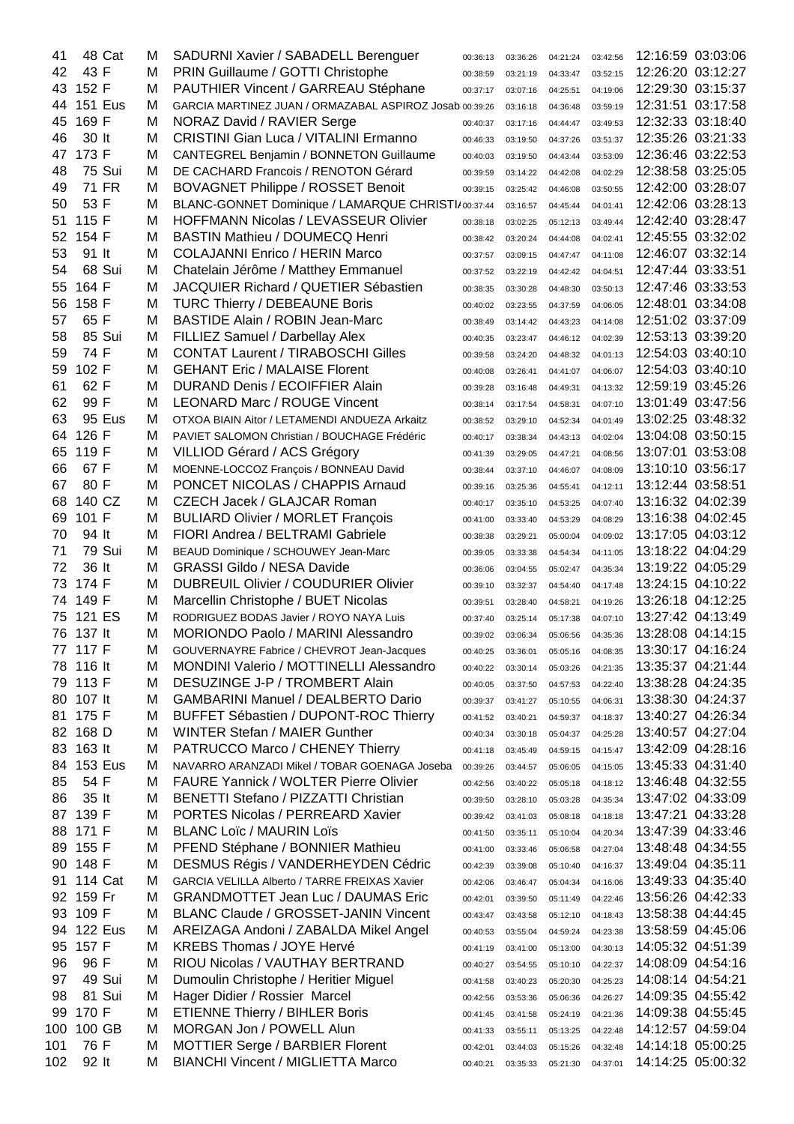| 41  | 48 Cat         | м | SADURNI Xavier / SABADELL Berenguer                     | 00:36:13 | 03:36:26 | 04:21:24 | 03:42:56 |                   | 12:16:59 03:03:06 |
|-----|----------------|---|---------------------------------------------------------|----------|----------|----------|----------|-------------------|-------------------|
| 42  | 43 F           | м | PRIN Guillaume / GOTTI Christophe                       | 00:38:59 | 03:21:19 | 04:33:47 | 03:52:15 | 12:26:20 03:12:27 |                   |
| 43  | 152 F          | M | PAUTHIER Vincent / GARREAU Stéphane                     | 00:37:17 | 03:07:16 | 04:25:51 | 04:19:06 |                   | 12:29:30 03:15:37 |
| 44  | <b>151 Eus</b> | м | GARCIA MARTINEZ JUAN / ORMAZABAL ASPIROZ Josab 00:39:26 |          | 03:16:18 | 04:36:48 | 03:59:19 |                   | 12:31:51 03:17:58 |
| 45  | 169 F          | м | NORAZ David / RAVIER Serge                              | 00:40:37 | 03:17:16 | 04:44:47 | 03:49:53 |                   | 12:32:33 03:18:40 |
| 46  | 30 lt          | M | <b>CRISTINI Gian Luca / VITALINI Ermanno</b>            | 00:46:33 | 03:19:50 | 04:37:26 | 03:51:37 |                   | 12:35:26 03:21:33 |
| 47  | 173 F          | M | <b>CANTEGREL Benjamin / BONNETON Guillaume</b>          | 00:40:03 | 03:19:50 | 04:43:44 | 03:53:09 |                   | 12:36:46 03:22:53 |
| 48  | 75 Sui         | м | DE CACHARD Francois / RENOTON Gérard                    | 00:39:59 | 03:14:22 | 04:42:08 | 04:02:29 |                   | 12:38:58 03:25:05 |
| 49  | 71 FR          | M | <b>BOVAGNET Philippe / ROSSET Benoit</b>                | 00:39:15 | 03:25:42 | 04:46:08 | 03:50:55 |                   | 12:42:00 03:28:07 |
| 50  | 53 F           | M | BLANC-GONNET Dominique / LAMARQUE CHRISTI/00:37:44      |          | 03:16:57 | 04:45:44 | 04:01:41 |                   | 12:42:06 03:28:13 |
| 51  | 115 F          | M | <b>HOFFMANN Nicolas / LEVASSEUR Olivier</b>             | 00:38:18 | 03:02:25 | 05:12:13 | 03:49:44 | 12:42:40 03:28:47 |                   |
| 52  | 154 F          | M | <b>BASTIN Mathieu / DOUMECQ Henri</b>                   | 00:38:42 | 03:20:24 | 04:44:08 | 04:02:41 |                   | 12:45:55 03:32:02 |
| 53  | 91 It          | м | <b>COLAJANNI Enrico / HERIN Marco</b>                   | 00:37:57 | 03:09:15 | 04:47:47 | 04:11:08 | 12:46:07 03:32:14 |                   |
| 54  | 68 Sui         | M | Chatelain Jérôme / Matthey Emmanuel                     | 00:37:52 | 03:22:19 | 04:42:42 | 04:04:51 | 12:47:44 03:33:51 |                   |
| 55  | 164 F          | M | JACQUIER Richard / QUETIER Sébastien                    | 00:38:35 | 03:30:28 | 04:48:30 | 03:50:13 | 12:47:46 03:33:53 |                   |
| 56  | 158 F          | M | <b>TURC Thierry / DEBEAUNE Boris</b>                    |          |          |          | 04:06:05 | 12:48:01 03:34:08 |                   |
| 57  | 65 F           | M | <b>BASTIDE Alain / ROBIN Jean-Marc</b>                  | 00:40:02 | 03:23:55 | 04:37:59 |          | 12:51:02 03:37:09 |                   |
| 58  | 85 Sui         | M | FILLIEZ Samuel / Darbellay Alex                         | 00:38:49 | 03:14:42 | 04:43:23 | 04:14:08 |                   | 12:53:13 03:39:20 |
|     | 74 F           | M | <b>CONTAT Laurent / TIRABOSCHI Gilles</b>               | 00:40:35 | 03:23:47 | 04:46:12 | 04:02:39 | 12:54:03 03:40:10 |                   |
| 59  |                |   |                                                         | 00:39:58 | 03:24:20 | 04:48:32 | 04:01:13 |                   | 12:54:03 03:40:10 |
| 59  | 102 F          | M | <b>GEHANT Eric / MALAISE Florent</b>                    | 00:40:08 | 03:26:41 | 04:41:07 | 04:06:07 |                   |                   |
| 61  | 62 F           | M | <b>DURAND Denis / ECOIFFIER Alain</b>                   | 00:39:28 | 03:16:48 | 04:49:31 | 04:13:32 |                   | 12:59:19 03:45:26 |
| 62  | 99 F           | M | <b>LEONARD Marc / ROUGE Vincent</b>                     | 00:38:14 | 03:17:54 | 04:58:31 | 04:07:10 |                   | 13:01:49 03:47:56 |
| 63  | 95 Eus         | M | OTXOA BIAIN Aitor / LETAMENDI ANDUEZA Arkaitz           | 00:38:52 | 03:29:10 | 04:52:34 | 04:01:49 |                   | 13:02:25 03:48:32 |
| 64  | 126 F          | M | PAVIET SALOMON Christian / BOUCHAGE Frédéric            | 00:40:17 | 03:38:34 | 04:43:13 | 04:02:04 |                   | 13:04:08 03:50:15 |
| 65  | 119 F          | M | VILLIOD Gérard / ACS Grégory                            | 00:41:39 | 03:29:05 | 04:47:21 | 04:08:56 |                   | 13:07:01 03:53:08 |
| 66  | 67 F           | M | MOENNE-LOCCOZ François / BONNEAU David                  | 00:38:44 | 03:37:10 | 04:46:07 | 04:08:09 |                   | 13:10:10 03:56:17 |
| 67  | 80 F           | M | PONCET NICOLAS / CHAPPIS Arnaud                         | 00:39:16 | 03:25:36 | 04:55:41 | 04:12:11 | 13:12:44 03:58:51 |                   |
| 68  | 140 CZ         | M | CZECH Jacek / GLAJCAR Roman                             | 00:40:17 | 03:35:10 | 04:53:25 | 04:07:40 |                   | 13:16:32 04:02:39 |
| 69  | 101 F          | M | <b>BULIARD Olivier / MORLET François</b>                | 00:41:00 | 03:33:40 | 04:53:29 | 04:08:29 |                   | 13:16:38 04:02:45 |
| 70  | 94 It          | м | FIORI Andrea / BELTRAMI Gabriele                        | 00:38:38 | 03:29:21 | 05:00:04 | 04:09:02 |                   | 13:17:05 04:03:12 |
| 71  | 79 Sui         | м | BEAUD Dominique / SCHOUWEY Jean-Marc                    | 00:39:05 | 03:33:38 | 04:54:34 | 04:11:05 |                   | 13:18:22 04:04:29 |
| 72  | 36 lt          | M | <b>GRASSI Gildo / NESA Davide</b>                       | 00:36:06 | 03:04:55 | 05:02:47 | 04:35:34 | 13:19:22 04:05:29 |                   |
| 73  | 174 F          | M | <b>DUBREUIL Olivier / COUDURIER Olivier</b>             | 00:39:10 | 03:32:37 | 04:54:40 | 04:17:48 | 13:24:15 04:10:22 |                   |
| 74  | 149 F          | M | Marcellin Christophe / BUET Nicolas                     | 00:39:51 | 03:28:40 | 04:58:21 | 04:19:26 | 13:26:18 04:12:25 |                   |
| 75  | 121 ES         | M | RODRIGUEZ BODAS Javier / ROYO NAYA Luis                 | 00:37:40 | 03:25:14 | 05:17:38 | 04:07:10 | 13:27:42 04:13:49 |                   |
| 76  | 137 lt         | M | <b>MORIONDO Paolo / MARINI Alessandro</b>               | 00:39:02 | 03:06:34 | 05:06:56 | 04:35:36 |                   | 13:28:08 04:14:15 |
| 77  | 117 F          | M | GOUVERNAYRE Fabrice / CHEVROT Jean-Jacques              | 00:40:25 | 03:36:01 | 05:05:16 | 04:08:35 |                   | 13:30:17 04:16:24 |
| 78  | 116 lt         | м | <b>MONDINI Valerio / MOTTINELLI Alessandro</b>          | 00:40:22 | 03:30:14 | 05:03:26 | 04:21:35 |                   | 13:35:37 04:21:44 |
| 79  | 113 F          | M | DESUZINGE J-P / TROMBERT Alain                          | 00:40:05 | 03:37:50 | 04:57:53 | 04:22:40 |                   | 13:38:28 04:24:35 |
| 80  | $107$ It       | M | <b>GAMBARINI Manuel / DEALBERTO Dario</b>               | 00:39:37 | 03:41:27 | 05:10:55 | 04:06:31 |                   | 13:38:30 04:24:37 |
| 81  | 175 F          | M | <b>BUFFET Sébastien / DUPONT-ROC Thierry</b>            | 00:41:52 | 03:40:21 | 04:59:37 | 04:18:37 |                   | 13:40:27 04:26:34 |
| 82  | 168 D          | м | <b>WINTER Stefan / MAIER Gunther</b>                    | 00:40:34 | 03:30:18 | 05:04:37 | 04:25:28 |                   | 13:40:57 04:27:04 |
| 83  | 163 lt         | M | PATRUCCO Marco / CHENEY Thierry                         | 00:41:18 | 03:45:49 | 04:59:15 | 04:15:47 |                   | 13:42:09 04:28:16 |
| 84  | <b>153 Eus</b> | м | NAVARRO ARANZADI Mikel / TOBAR GOENAGA Joseba           | 00:39:26 | 03:44:57 | 05:06:05 | 04:15:05 |                   | 13:45:33 04:31:40 |
| 85  | 54 F           | M | <b>FAURE Yannick / WOLTER Pierre Olivier</b>            | 00:42:56 | 03:40:22 | 05:05:18 | 04:18:12 |                   | 13:46:48 04:32:55 |
| 86  | 35 lt          | M | BENETTI Stefano / PIZZATTI Christian                    | 00:39:50 | 03:28:10 | 05:03:28 | 04:35:34 |                   | 13:47:02 04:33:09 |
| 87  | 139 F          | M | <b>PORTES Nicolas / PERREARD Xavier</b>                 | 00:39:42 | 03:41:03 | 05:08:18 | 04:18:18 |                   | 13:47:21 04:33:28 |
| 88  | 171 F          | M | <b>BLANC Loïc / MAURIN Loïs</b>                         |          |          |          |          |                   | 13:47:39 04:33:46 |
| 89  | 155 F          | M | PFEND Stéphane / BONNIER Mathieu                        | 00:41:50 | 03:35:11 | 05:10:04 | 04:20:34 |                   | 13:48:48 04:34:55 |
| 90  | 148 F          | M | DESMUS Régis / VANDERHEYDEN Cédric                      | 00:41:00 | 03:33:46 | 05:06:58 | 04:27:04 | 13:49:04 04:35:11 |                   |
|     |                |   |                                                         | 00:42:39 | 03:39:08 | 05:10:40 | 04:16:37 |                   |                   |
| 91  | 114 Cat        | м | GARCIA VELILLA Alberto / TARRE FREIXAS Xavier           | 00:42:06 | 03:46:47 | 05:04:34 | 04:16:06 |                   | 13:49:33 04:35:40 |
| 92  | 159 Fr         | M | <b>GRANDMOTTET Jean Luc / DAUMAS Eric</b>               | 00:42:01 | 03:39:50 | 05:11:49 | 04:22:46 |                   | 13:56:26 04:42:33 |
| 93  | 109 F          | м | <b>BLANC Claude / GROSSET-JANIN Vincent</b>             | 00:43:47 | 03:43:58 | 05:12:10 | 04:18:43 |                   | 13:58:38 04:44:45 |
| 94  | <b>122 Eus</b> | м | AREIZAGA Andoni / ZABALDA Mikel Angel                   | 00:40:53 | 03:55:04 | 04:59:24 | 04:23:38 |                   | 13:58:59 04:45:06 |
| 95  | 157 F          | м | <b>KREBS Thomas / JOYE Hervé</b>                        | 00:41:19 | 03:41:00 | 05:13:00 | 04:30:13 |                   | 14:05:32 04:51:39 |
| 96  | 96 F           | м | RIOU Nicolas / VAUTHAY BERTRAND                         | 00:40:27 | 03:54:55 | 05:10:10 | 04:22:37 |                   | 14:08:09 04:54:16 |
| 97  | 49 Sui         | м | Dumoulin Christophe / Heritier Miguel                   | 00:41:58 | 03:40:23 | 05:20:30 | 04:25:23 |                   | 14:08:14 04:54:21 |
| 98  | 81 Sui         | M | Hager Didier / Rossier Marcel                           | 00:42:56 | 03:53:36 | 05:06:36 | 04:26:27 |                   | 14:09:35 04:55:42 |
| 99  | 170 F          | M | <b>ETIENNE Thierry / BIHLER Boris</b>                   | 00:41:45 | 03:41:58 | 05:24:19 | 04:21:36 |                   | 14:09:38 04:55:45 |
| 100 | 100 GB         | м | <b>MORGAN Jon / POWELL Alun</b>                         | 00:41:33 | 03:55:11 | 05:13:25 | 04:22:48 |                   | 14:12:57 04:59:04 |
| 101 | 76 F           | M | <b>MOTTIER Serge / BARBIER Florent</b>                  | 00:42:01 | 03:44:03 | 05:15:26 | 04:32:48 |                   | 14:14:18 05:00:25 |
| 102 | 92 It          | M | <b>BIANCHI Vincent / MIGLIETTA Marco</b>                | 00:40:21 | 03:35:33 | 05:21:30 | 04:37:01 |                   | 14:14:25 05:00:32 |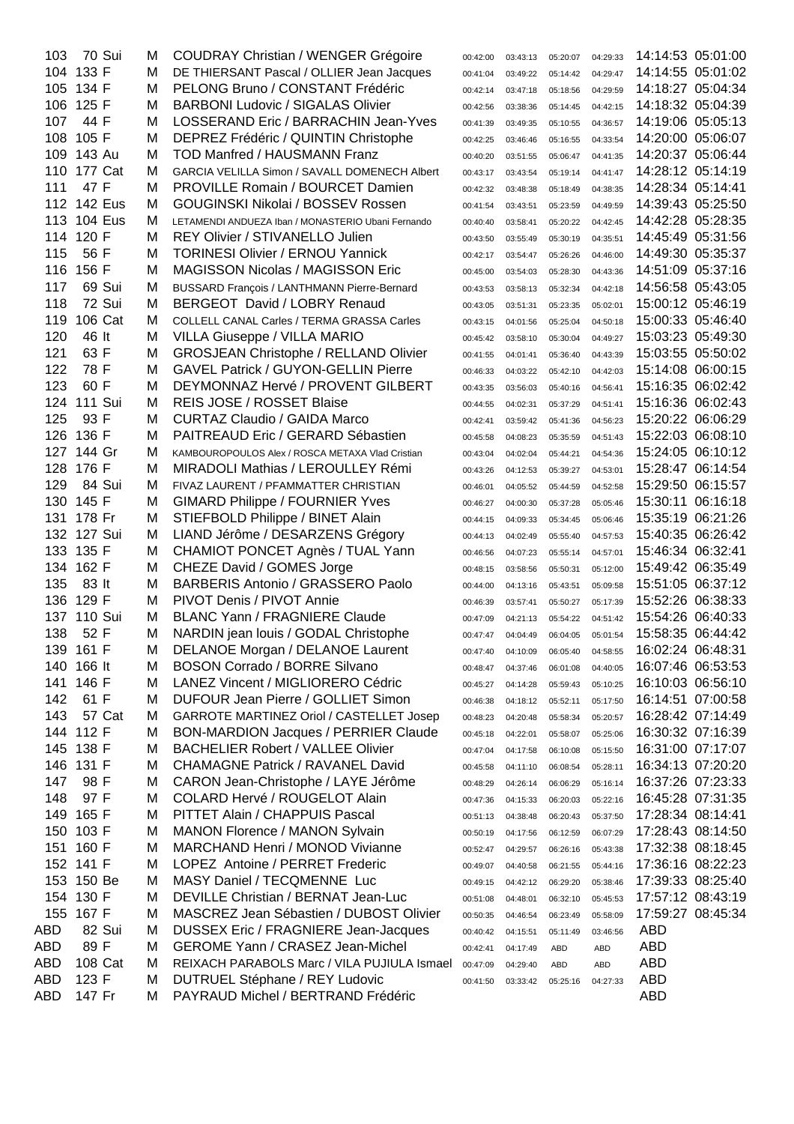| 103 | 70 Sui         | м | <b>COUDRAY Christian / WENGER Grégoire</b>         | 00:42:00 | 03:43:13 | 05:20:07 | 04:29:33 |                   | 14:14:53 05:01:00 |
|-----|----------------|---|----------------------------------------------------|----------|----------|----------|----------|-------------------|-------------------|
|     | 104 133 F      | M | DE THIERSANT Pascal / OLLIER Jean Jacques          | 00:41:04 | 03:49:22 | 05:14:42 | 04:29:47 |                   | 14:14:55 05:01:02 |
| 105 | 134 F          | M | PELONG Bruno / CONSTANT Frédéric                   | 00:42:14 | 03:47:18 | 05:18:56 | 04:29:59 |                   | 14:18:27 05:04:34 |
| 106 | 125 F          | M | <b>BARBONI Ludovic / SIGALAS Olivier</b>           | 00:42:56 | 03:38:36 | 05:14:45 | 04:42:15 |                   | 14:18:32 05:04:39 |
| 107 | 44 F           | M | LOSSERAND Eric / BARRACHIN Jean-Yves               | 00:41:39 | 03:49:35 | 05:10:55 | 04:36:57 |                   | 14:19:06 05:05:13 |
| 108 | 105 F          | M | DEPREZ Frédéric / QUINTIN Christophe               | 00:42:25 | 03:46:46 | 05:16:55 | 04:33:54 |                   | 14:20:00 05:06:07 |
| 109 | 143 Au         | м | <b>TOD Manfred / HAUSMANN Franz</b>                | 00:40:20 | 03:51:55 | 05:06:47 | 04:41:35 |                   | 14:20:37 05:06:44 |
| 110 | 177 Cat        | M | GARCIA VELILLA Simon / SAVALL DOMENECH Albert      | 00:43:17 | 03:43:54 | 05:19:14 | 04:41:47 |                   | 14:28:12 05:14:19 |
| 111 | 47 F           | м | PROVILLE Romain / BOURCET Damien                   | 00:42:32 | 03:48:38 | 05:18:49 | 04:38:35 | 14:28:34 05:14:41 |                   |
|     | 112 142 Eus    | м | GOUGINSKI Nikolai / BOSSEV Rossen                  | 00:41:54 | 03:43:51 | 05:23:59 | 04:49:59 |                   | 14:39:43 05:25:50 |
|     | 113 104 Eus    | м | LETAMENDI ANDUEZA Iban / MONASTERIO Ubani Fernando | 00:40:40 | 03:58:41 | 05:20:22 | 04:42:45 |                   | 14:42:28 05:28:35 |
|     | 114 120 F      | M | REY Olivier / STIVANELLO Julien                    | 00:43:50 | 03:55:49 | 05:30:19 | 04:35:51 |                   | 14:45:49 05:31:56 |
| 115 | 56 F           | M | <b>TORINESI Olivier / ERNOU Yannick</b>            | 00:42:17 | 03:54:47 | 05:26:26 | 04:46:00 |                   | 14:49:30 05:35:37 |
| 116 | 156 F          | M | <b>MAGISSON Nicolas / MAGISSON Eric</b>            | 00:45:00 | 03:54:03 | 05:28:30 | 04:43:36 |                   | 14:51:09 05:37:16 |
| 117 | 69 Sui         | м | BUSSARD François / LANTHMANN Pierre-Bernard        | 00:43:53 | 03:58:13 | 05:32:34 | 04:42:18 |                   | 14:56:58 05:43:05 |
| 118 | 72 Sui         | м | BERGEOT David / LOBRY Renaud                       | 00:43:05 | 03:51:31 | 05:23:35 | 05:02:01 |                   | 15:00:12 05:46:19 |
| 119 | 106 Cat        | M | COLLELL CANAL Carles / TERMA GRASSA Carles         | 00:43:15 | 04:01:56 | 05:25:04 | 04:50:18 |                   | 15:00:33 05:46:40 |
| 120 | 46 lt          | M | <b>VILLA Giuseppe / VILLA MARIO</b>                | 00:45:42 | 03:58:10 | 05:30:04 | 04:49:27 |                   | 15:03:23 05:49:30 |
| 121 | 63 F           | м | <b>GROSJEAN Christophe / RELLAND Olivier</b>       | 00:41:55 | 04:01:41 | 05:36:40 | 04:43:39 |                   | 15:03:55 05:50:02 |
| 122 | 78 F           | м | <b>GAVEL Patrick / GUYON-GELLIN Pierre</b>         | 00:46:33 | 04:03:22 | 05:42:10 | 04:42:03 |                   | 15:14:08 06:00:15 |
| 123 | 60 F           | M | DEYMONNAZ Hervé / PROVENT GILBERT                  | 00:43:35 |          |          | 04:56:41 |                   | 15:16:35 06:02:42 |
| 124 | <b>111 Sui</b> | M | REIS JOSE / ROSSET Blaise                          |          | 03:56:03 | 05:40:16 |          |                   | 15:16:36 06:02:43 |
| 125 | 93 F           | M | <b>CURTAZ Claudio / GAIDA Marco</b>                | 00:44:55 | 04:02:31 | 05:37:29 | 04:51:41 |                   | 15:20:22 06:06:29 |
| 126 | 136 F          | M | PAITREAUD Eric / GERARD Sébastien                  | 00:42:41 | 03:59:42 | 05:41:36 | 04:56:23 |                   | 15:22:03 06:08:10 |
|     |                |   |                                                    | 00:45:58 | 04:08:23 | 05:35:59 | 04:51:43 |                   |                   |
| 127 | 144 Gr         | M | KAMBOUROPOULOS Alex / ROSCA METAXA Vlad Cristian   | 00:43:04 | 04:02:04 | 05:44:21 | 04:54:36 |                   | 15:24:05 06:10:12 |
| 128 | 176 F          | M | MIRADOLI Mathias / LEROULLEY Rémi                  | 00:43:26 | 04:12:53 | 05:39:27 | 04:53:01 |                   | 15:28:47 06:14:54 |
| 129 | 84 Sui         | м | FIVAZ LAURENT / PFAMMATTER CHRISTIAN               | 00:46:01 | 04:05:52 | 05:44:59 | 04:52:58 |                   | 15:29:50 06:15:57 |
| 130 | 145 F          | M | <b>GIMARD Philippe / FOURNIER Yves</b>             | 00:46:27 | 04:00:30 | 05:37:28 | 05:05:46 |                   | 15:30:11 06:16:18 |
| 131 | 178 Fr         | M | STIEFBOLD Philippe / BINET Alain                   | 00:44:15 | 04:09:33 | 05:34:45 | 05:06:46 |                   | 15:35:19 06:21:26 |
| 132 | 127 Sui        | M | LIAND Jérôme / DESARZENS Grégory                   | 00:44:13 | 04:02:49 | 05:55:40 | 04:57:53 |                   | 15:40:35 06:26:42 |
| 133 | 135 F          | M | CHAMIOT PONCET Agnès / TUAL Yann                   | 00:46:56 | 04:07:23 | 05:55:14 | 04:57:01 | 15:46:34 06:32:41 |                   |
| 134 | 162 F          | M | CHEZE David / GOMES Jorge                          | 00:48:15 | 03:58:56 | 05:50:31 | 05:12:00 |                   | 15:49:42 06:35:49 |
| 135 | 83 lt          | M | <b>BARBERIS Antonio / GRASSERO Paolo</b>           | 00:44:00 | 04:13:16 | 05:43:51 | 05:09:58 |                   | 15:51:05 06:37:12 |
| 136 | 129 F          | M | PIVOT Denis / PIVOT Annie                          | 00:46:39 | 03:57:41 | 05:50:27 | 05:17:39 |                   | 15:52:26 06:38:33 |
|     | 137 110 Sui    | м | <b>BLANC Yann / FRAGNIERE Claude</b>               | 00:47:09 | 04:21:13 | 05:54:22 | 04:51:42 |                   | 15:54:26 06:40:33 |
| 138 | 52 F           | М | NARDIN jean louis / GODAL Christophe               | 00:47:47 | 04:04:49 | 06:04:05 | 05:01:54 |                   | 15:58:35 06:44:42 |
| 139 | 161 F          | M | DELANOE Morgan / DELANOE Laurent                   | 00:47:40 | 04:10:09 | 06:05:40 | 04:58:55 |                   | 16:02:24 06:48:31 |
| 140 | 166 lt         | M | <b>BOSON Corrado / BORRE Silvano</b>               | 00:48:47 | 04:37:46 | 06:01:08 | 04:40:05 |                   | 16:07:46 06:53:53 |
| 141 | 146 F          | M | LANEZ Vincent / MIGLIORERO Cédric                  | 00:45:27 | 04:14:28 | 05:59:43 | 05:10:25 |                   | 16:10:03 06:56:10 |
| 142 | 61 F           | M | DUFOUR Jean Pierre / GOLLIET Simon                 | 00:46:38 | 04:18:12 | 05:52:11 | 05:17:50 |                   | 16:14:51 07:00:58 |
| 143 | 57 Cat         | M | <b>GARROTE MARTINEZ Oriol / CASTELLET Josep</b>    | 00:48:23 | 04:20:48 | 05:58:34 | 05:20:57 |                   | 16:28:42 07:14:49 |
|     | 144 112 F      | M | <b>BON-MARDION Jacques / PERRIER Claude</b>        | 00:45:18 | 04:22:01 | 05:58:07 | 05:25:06 |                   | 16:30:32 07:16:39 |
|     | 145 138 F      | M | <b>BACHELIER Robert / VALLEE Olivier</b>           | 00:47:04 | 04:17:58 | 06:10:08 | 05:15:50 |                   | 16:31:00 07:17:07 |
|     | 146 131 F      | M | <b>CHAMAGNE Patrick / RAVANEL David</b>            | 00:45:58 | 04:11:10 | 06:08:54 | 05:28:11 |                   | 16:34:13 07:20:20 |
| 147 | 98 F           | M | CARON Jean-Christophe / LAYE Jérôme                | 00:48:29 | 04:26:14 | 06:06:29 | 05:16:14 |                   | 16:37:26 07:23:33 |
| 148 | 97 F           | M | COLARD Hervé / ROUGELOT Alain                      | 00:47:36 | 04:15:33 | 06:20:03 | 05:22:16 |                   | 16:45:28 07:31:35 |
| 149 | 165 F          | M | PITTET Alain / CHAPPUIS Pascal                     | 00:51:13 | 04:38:48 | 06:20:43 | 05:37:50 |                   | 17:28:34 08:14:41 |
| 150 | 103 F          | M | MANON Florence / MANON Sylvain                     | 00:50:19 | 04:17:56 | 06:12:59 | 06:07:29 |                   | 17:28:43 08:14:50 |
| 151 | 160 F          | M | <b>MARCHAND Henri / MONOD Vivianne</b>             | 00:52:47 | 04:29:57 | 06:26:16 | 05:43:38 |                   | 17:32:38 08:18:45 |
|     | 152 141 F      | M | LOPEZ Antoine / PERRET Frederic                    | 00:49:07 | 04:40:58 | 06:21:55 | 05:44:16 |                   | 17:36:16 08:22:23 |
|     | 153 150 Be     | M | MASY Daniel / TECQMENNE Luc                        | 00:49:15 | 04:42:12 | 06:29:20 | 05:38:46 |                   | 17:39:33 08:25:40 |
|     | 154 130 F      | M | DEVILLE Christian / BERNAT Jean-Luc                | 00:51:08 | 04:48:01 | 06:32:10 | 05:45:53 |                   | 17:57:12 08:43:19 |
| 155 | 167 F          | M | MASCREZ Jean Sébastien / DUBOST Olivier            | 00:50:35 | 04:46:54 | 06:23:49 | 05:58:09 |                   | 17:59:27 08:45:34 |
| ABD | 82 Sui         | M | <b>DUSSEX Eric / FRAGNIERE Jean-Jacques</b>        | 00:40:42 | 04:15:51 | 05:11:49 | 03:46:56 | <b>ABD</b>        |                   |
| ABD | 89 F           | M | <b>GEROME Yann / CRASEZ Jean-Michel</b>            | 00:42:41 | 04:17:49 | ABD      | ABD      | <b>ABD</b>        |                   |
| ABD | 108 Cat        | M | REIXACH PARABOLS Marc / VILA PUJIULA Ismael        | 00:47:09 | 04:29:40 | ABD      | ABD      | <b>ABD</b>        |                   |
| ABD | 123 F          | M | <b>DUTRUEL Stéphane / REY Ludovic</b>              | 00:41:50 | 03:33:42 | 05:25:16 | 04:27:33 | <b>ABD</b>        |                   |
| ABD | 147 Fr         | м | PAYRAUD Michel / BERTRAND Frédéric                 |          |          |          |          | <b>ABD</b>        |                   |
|     |                |   |                                                    |          |          |          |          |                   |                   |